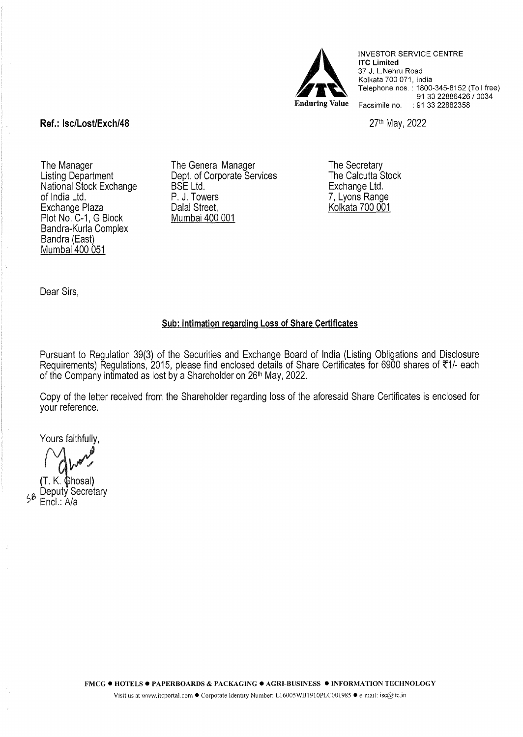

INVESTOR SERVICE CENTRE **lTC Limited**  37 J. L.Nehru Road Kolkata 700 071, India Telephone nos.: 1800-345-8152 (Toll free) 91 33 22886426 / 0034 Facsimile no. : 91 33 22882358

27th May, 2022

## **Ref.: lsc/Lost/Exch/48**

The Manager Listing Department National Stock Exchange of India Ltd. Exchange Plaza Plot No. C-1, G Block Bandra-Kurla Complex Bandra (East) Mumbai 400 051

The General Manager Dept. of Corporate Services BSE Ltd. P. J. Towers Dalal Street, Mumbai 400 001

The Secretary The Calcutta Stock Exchange Ltd. 7, Lyons Range Kolkata 700 001

Dear Sirs,

## **Sub: Intimation regarding Loss of Share Certificates**

Pursuant to Regulation 39(3) of the Securities and Exchange Board of India (Listing Obligations and Disclosure Requirements) Regulations, 2015, please find enclosed details of Share Certificates for 6900 shares of ₹1/- each of the Company intimated as lost by a Shareholder on 26<sup>th</sup> May, 2022.

Copy of the letter received from the Shareholder regarding loss of the aforesaid Share Certificates is enclosed for your reference.

Yours faithfully,

(T. K. Chosal)<br>  $\frac{1}{28}$  Deputy Secretary Encl.: A/a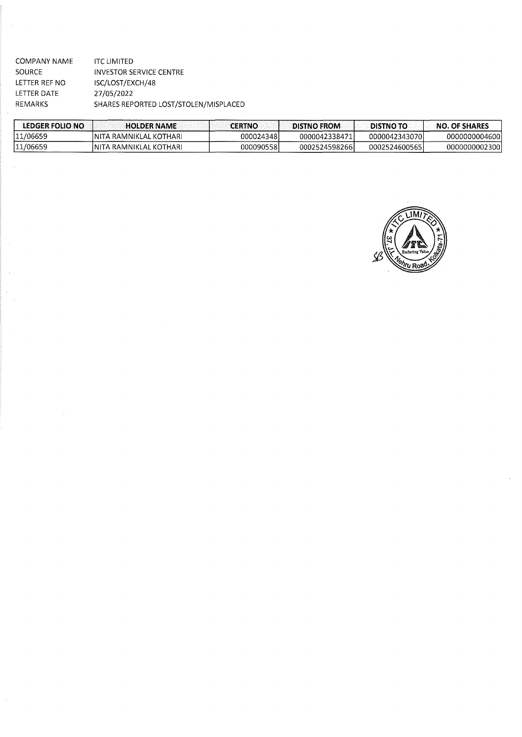| <b>ITC LIMITED</b>                    |
|---------------------------------------|
| <b>INVESTOR SERVICE CENTRE</b>        |
| ISC/LOST/EXCH/48                      |
| 27/05/2022                            |
| SHARES REPORTED LOST/STOLEN/MISPLACED |
|                                       |

 $\cdot$ 

| LEDGER FOLIO NO | <b>HOLDER NAME</b>      | <b>CERTNO</b> | <b>DISTNO FROM</b> | <b>DISTNOTO</b> | <b>NO. OF SHARES</b> |
|-----------------|-------------------------|---------------|--------------------|-----------------|----------------------|
| 111/06659       | INITA RAMNIKLAL KOTHARI | 000024348     | 0000042338471      | 0000042343070   | 00000000046001       |
| 111/06659       | INITA RAMNIKLAL KOTHARI | 0000905581    | 0002524598266L     | 00025246005651  | 00000000023001       |

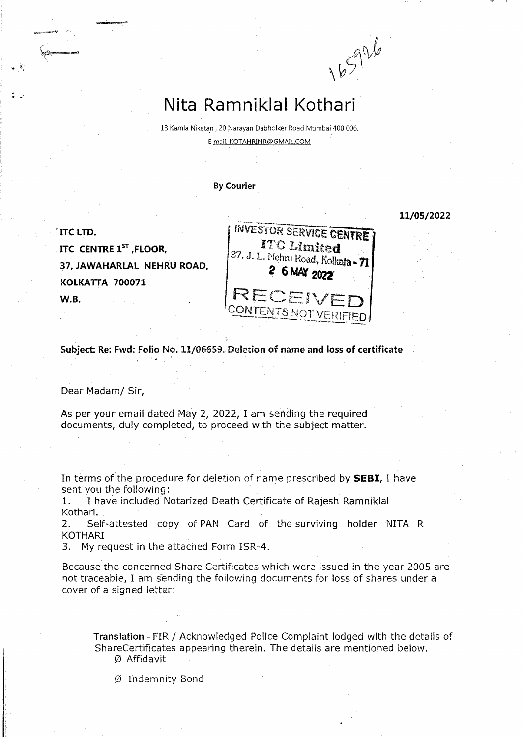165926

## Nita Ramniklal Kothari

13 Kamla Niketan, 20 Narayan Dabholker Road Mumbai 400 006. Email. KOTAHRINR@GMAIL.COM

> **INVESTOR SERVICE CENTRE ITO Limited** 37, J. L. Nehru Road, Kolkata - 71 2 6 MAY 2022

CONTENTS NOT VERIFIED

RECEI

By Courier

'lTC LTD. ITC CENTRE  $\boldsymbol{1}^\text{ST}$  ,FLOOR, 37, JAWAHARLAl NEHRU ROAD. KOLKATTA 700071 W.B.



Subject: Re: Fwd: Folio No. 11/06659. Deletion of name and loss of certificate

Dear Madam/ Sir,

~;,~-- '\

- 16

As per your email dated May 2, 2022, I am sending the required documents, duly completed, to proceed with the subject matter.

In terms of the procedure for deletion of name prescribed by **SEBI**, I have sent you the following:

1. I have included Notarized Death Certificate of Rajesh Ramniklal Kothari.

2. Self-attested copy of PAN Card of the surviving holder NITA R KOTHARI

3. My request in the attached Form ISR-4.

Because the concerned Share Certificates which were issued in the year 2005 are not traceable, I am sending the following documents for loss of shares under a cover of a signed letter:

Translation - FIR / Acknowledged Police Complaint lodged with the details of ShareCertificates appearing therein. The details are mentioned below. 0 Affidavit

 $Ø$  Indemnity Bond